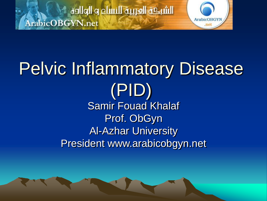الشبكة العربية للنساء و الولادة ArabicOBGYN.net



#### Pelvic Inflammatory Disease (PID) Samir Fouad Khalaf Prof. ObGyn Al-Azhar University President www.arabicobgyn.net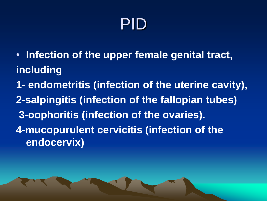#### PID

- **Infection of the upper female genital tract, including**
- **1- endometritis (infection of the uterine cavity), 2-salpingitis (infection of the fallopian tubes) 3-oophoritis (infection of the ovaries). 4-mucopurulent cervicitis (infection of the endocervix)**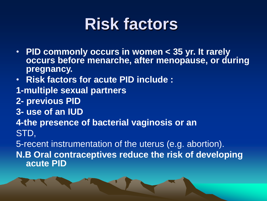#### **Risk factors**

- **PID commonly occurs in women < 35 yr. It rarely occurs before menarche, after menopause, or during pregnancy.**
- **Risk factors for acute PID include :**
- **1-multiple sexual partners**
- **2- previous PID**
- **3- use of an IUD**
- **4-the presence of bacterial vaginosis or an**
- STD,

5-recent instrumentation of the uterus (e.g. abortion).

**N.B Oral contraceptives reduce the risk of developing acute PID**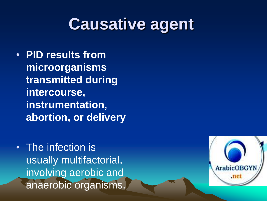#### **Causative agent**

- **PID results from microorganisms transmitted during intercourse, instrumentation, abortion, or delivery**
- The infection is usually multifactorial, involving aerobic and anaerobic organisms.

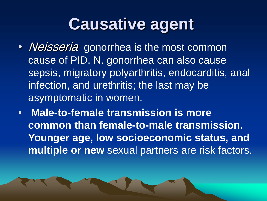#### **Causative agent**

- *Neisseria* gonorrhea is the most common cause of PID. N. gonorrhea can also cause sepsis, migratory polyarthritis, endocarditis, anal infection, and urethritis; the last may be asymptomatic in women.
- **Male-to-female transmission is more common than female-to-male transmission. Younger age, low socioeconomic status, and multiple or new** sexual partners are risk factors.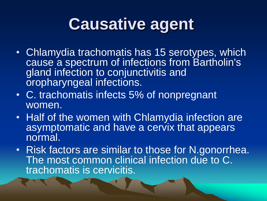#### **Causative agent**

- Chlamydia trachomatis has 15 serotypes, which cause a spectrum of infections from Bartholin's gland infection to conjunctivitis and oropharyngeal infections.
- C. trachomatis infects 5% of nonpregnant women.
- Half of the women with Chlamydia infection are asymptomatic and have a cervix that appears normal.
- Risk factors are similar to those for N.gonorrhea. The most common clinical infection due to C. trachomatis is cervicitis.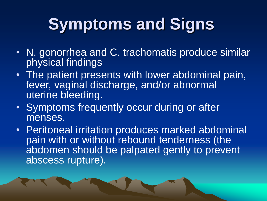# **Symptoms and Signs**

- N. gonorrhea and C. trachomatis produce similar physical findings
- The patient presents with lower abdominal pain, fever, vaginal discharge, and/or abnormal uterine bleeding.
- Symptoms frequently occur during or after menses.
- Peritoneal irritation produces marked abdominal pain with or without rebound tenderness (the abdomen should be palpated gently to prevent abscess rupture).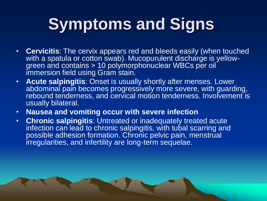# **Symptoms and Signs**

- **Cervicitis**: The cervix appears red and bleeds easily (when touched with a spatula or cotton swab). Mucopurulent discharge is yellowgreen and contains > 10 polymorphonuclear WBCs per oil immersion field using Gram stain.
- **Acute salpingitis**: Onset is usually shortly after menses. Lower abdominal pain becomes progressively more severe, with guarding, rebound tenderness, and cervical motion tenderness. Involvement is usually bilateral.
- **Nausea and vomiting occur with severe infection**
- **Chronic salpingitis**: Untreated or inadequately treated acute infection can lead to chronic salpingitis, with tubal scarring and possible adhesion formation. Chronic pelvic pain, menstrual irregularities, and infertility are long-term sequelae.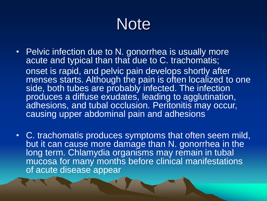#### **Note**

- Pelvic infection due to N. gonorrhea is usually more acute and typical than that due to C. trachomatis; onset is rapid, and pelvic pain develops shortly after menses starts. Although the pain is often localized to one side, both tubes are probably infected. The infection produces a diffuse exudates, leading to agglutination, adhesions, and tubal occlusion. Peritonitis may occur, causing upper abdominal pain and adhesions
- C. trachomatis produces symptoms that often seem mild, but it can cause more damage than N. gonorrhea in the long term. Chlamydia organisms may remain in tubal mucosa for many months before clinical manifestations of acute disease appear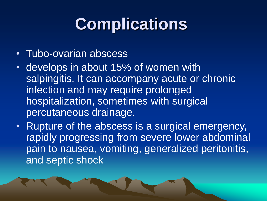# **Complications**

- Tubo-ovarian abscess
- develops in about 15% of women with salpingitis. It can accompany acute or chronic infection and may require prolonged hospitalization, sometimes with surgical percutaneous drainage.
- Rupture of the abscess is a surgical emergency, rapidly progressing from severe lower abdominal pain to nausea, vomiting, generalized peritonitis, and septic shock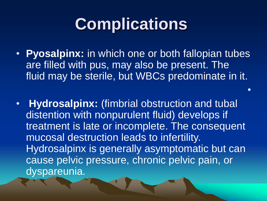## **Complications**

• **Pyosalpinx:** in which one or both fallopian tubes are filled with pus, may also be present. The fluid may be sterile, but WBCs predominate in it.

•

• **Hydrosalpinx:** (fimbrial obstruction and tubal distention with nonpurulent fluid) develops if treatment is late or incomplete. The consequent mucosal destruction leads to infertility. Hydrosalpinx is generally asymptomatic but can cause pelvic pressure, chronic pelvic pain, or dyspareunia.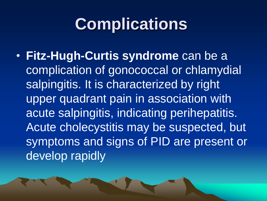## **Complications**

• **Fitz-Hugh-Curtis syndrome** can be a complication of gonococcal or chlamydial salpingitis. It is characterized by right upper quadrant pain in association with acute salpingitis, indicating perihepatitis. Acute cholecystitis may be suspected, but symptoms and signs of PID are present or develop rapidly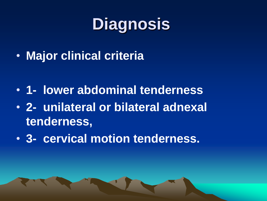# **Diagnosis**

• **Major clinical criteria**

- **1- lower abdominal tenderness**
- **2- unilateral or bilateral adnexal tenderness,**
- **3- cervical motion tenderness.**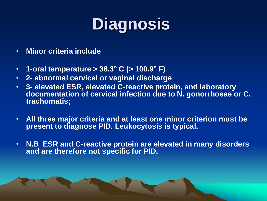# **Diagnosis**

- **Minor criteria include**
- **1-oral temperature > 38.3° C (> 100.9° F)**
- **2- abnormal cervical or vaginal discharge**
- **3- elevated ESR, elevated C-reactive protein, and laboratory documentation of cervical infection due to N. gonorrhoeae or C. trachomatis;**
- **All three major criteria and at least one minor criterion must be present to diagnose PID. Leukocytosis is typical.**
- **N.B ESR and C-reactive protein are elevated in many disorders and are therefore not specific for PID.**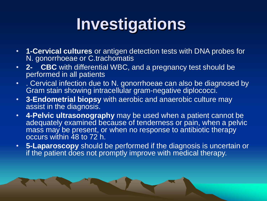# **Investigations**

- **1-Cervical cultures** or antigen detection tests with DNA probes for N. gonorrhoeae or C.trachomatis
- **2- CBC** with differential WBC, and a pregnancy test should be performed in all patients
- . Cervical infection due to N. gonorrhoeae can also be diagnosed by Gram stain showing intracellular gram-negative diplococci.
- **3-Endometrial biopsy** with aerobic and anaerobic culture may assist in the diagnosis.
- **4-Pelvic ultrasonography** may be used when a patient cannot be adequately examined because of tenderness or pain, when a pelvic mass may be present, or when no response to antibiotic therapy occurs within 48 to 72 h.
- **5-Laparoscopy** should be performed if the diagnosis is uncertain or if the patient does not promptly improve with medical therapy.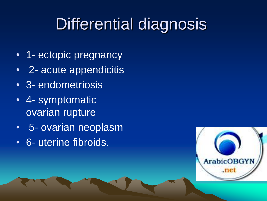## Differential diagnosis

- 1- ectopic pregnancy
- 2- acute appendicitis
- 3- endometriosis
- 4- symptomatic ovarian rupture
- 5- ovarian neoplasm
- 6- uterine fibroids.

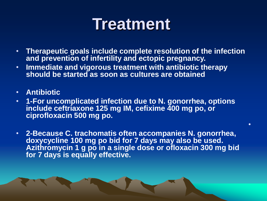#### **Treatment**

- **Therapeutic goals include complete resolution of the infection and prevention of infertility and ectopic pregnancy.**
- **Immediate and vigorous treatment with antibiotic therapy should be started as soon as cultures are obtained**
- **Antibiotic**
- **1-For uncomplicated infection due to N. gonorrhea, options include ceftriaxone 125 mg IM, cefixime 400 mg po, or ciprofloxacin 500 mg po.**
- **2-Because C. trachomatis often accompanies N. gonorrhea, doxycycline 100 mg po bid for 7 days may also be used. Azithromycin 1 g po in a single dose or ofloxacin 300 mg bid for 7 days is equally effective.**

•